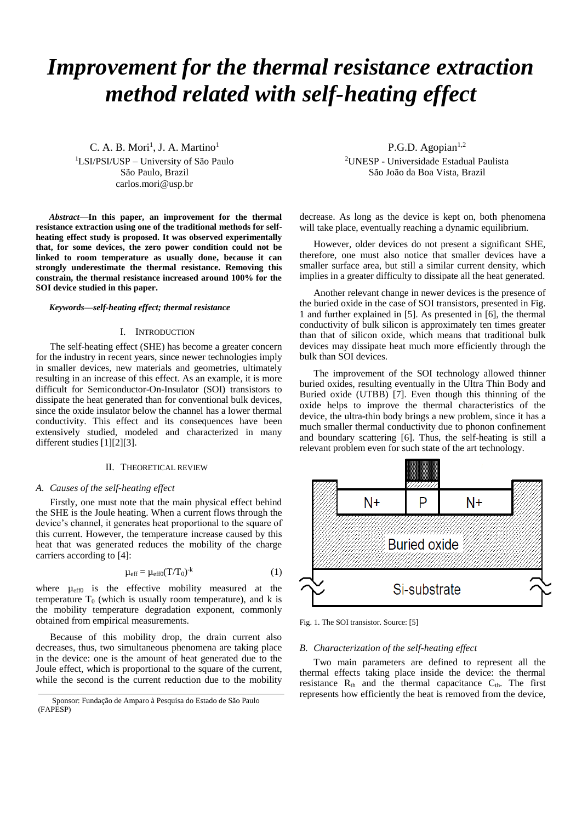# *Improvement for the thermal resistance extraction method related with self-heating effect*

 $C. A. B. Mori<sup>1</sup>, J. A. Martino<sup>1</sup>$ <sup>1</sup>LSI/PSI/USP – University of São Paulo São Paulo, Brazil carlos.mori@usp.br

*Abstract***—In this paper, an improvement for the thermal resistance extraction using one of the traditional methods for selfheating effect study is proposed. It was observed experimentally that, for some devices, the zero power condition could not be linked to room temperature as usually done, because it can strongly underestimate the thermal resistance. Removing this constrain, the thermal resistance increased around 100% for the SOI device studied in this paper.**

### *Keywords—self-heating effect; thermal resistance*

#### I. INTRODUCTION

The self-heating effect (SHE) has become a greater concern for the industry in recent years, since newer technologies imply in smaller devices, new materials and geometries, ultimately resulting in an increase of this effect. As an example, it is more difficult for Semiconductor-On-Insulator (SOI) transistors to dissipate the heat generated than for conventional bulk devices, since the oxide insulator below the channel has a lower thermal conductivity. This effect and its consequences have been extensively studied, modeled and characterized in many different studies [\[1\]\[2\]](#page-2-0)[\[3\].](#page-2-1)

# II. THEORETICAL REVIEW

# *A. Causes of the self-heating effect*

Firstly, one must note that the main physical effect behind the SHE is the Joule heating. When a current flows through the device's channel, it generates heat proportional to the square of this current. However, the temperature increase caused by this heat that was generated reduces the mobility of the charge carriers according to [\[4\]:](#page-2-2)

$$
\mu_{\rm eff} = \mu_{\rm eff0}(T/T_0)^{-k} \tag{1}
$$

where  $\mu_{eff0}$  is the effective mobility measured at the temperature  $T_0$  (which is usually room temperature), and k is the mobility temperature degradation exponent, commonly obtained from empirical measurements.

Because of this mobility drop, the drain current also decreases, thus, two simultaneous phenomena are taking place in the device: one is the amount of heat generated due to the Joule effect, which is proportional to the square of the current, while the second is the current reduction due to the mobility

P.G.D. Agopian $1,2$ <sup>2</sup>UNESP - Universidade Estadual Paulista São João da Boa Vista, Brazil

decrease. As long as the device is kept on, both phenomena will take place, eventually reaching a dynamic equilibrium.

However, older devices do not present a significant SHE, therefore, one must also notice that smaller devices have a smaller surface area, but still a similar current density, which implies in a greater difficulty to dissipate all the heat generated.

Another relevant change in newer devices is the presence of the buried oxide in the case of SOI transistors, presented in [Fig.](#page-0-0)  [1](#page-0-0) and further explained in [\[5\].](#page-2-3) As presented in [\[6\],](#page-2-4) the thermal conductivity of bulk silicon is approximately ten times greater than that of silicon oxide, which means that traditional bulk devices may dissipate heat much more efficiently through the bulk than SOI devices.

The improvement of the SOI technology allowed thinner buried oxides, resulting eventually in the Ultra Thin Body and Buried oxide (UTBB) [\[7\].](#page-2-5) Even though this thinning of the oxide helps to improve the thermal characteristics of the device, the ultra-thin body brings a new problem, since it has a much smaller thermal conductivity due to phonon confinement and boundary scattering [\[6\].](#page-2-4) Thus, the self-heating is still a relevant problem even for such state of the art technology.



<span id="page-0-0"></span>Fig. 1. The SOI transistor. Source: [\[5\]](#page-2-3)

#### *B. Characterization of the self-heating effect*

Two main parameters are defined to represent all the thermal effects taking place inside the device: the thermal resistance  $R_{th}$  and the thermal capacitance  $C_{th}$ . The first represents how efficiently the heat is removed from the device,

Sponsor: Fundação de Amparo à Pesquisa do Estado de São Paulo (FAPESP)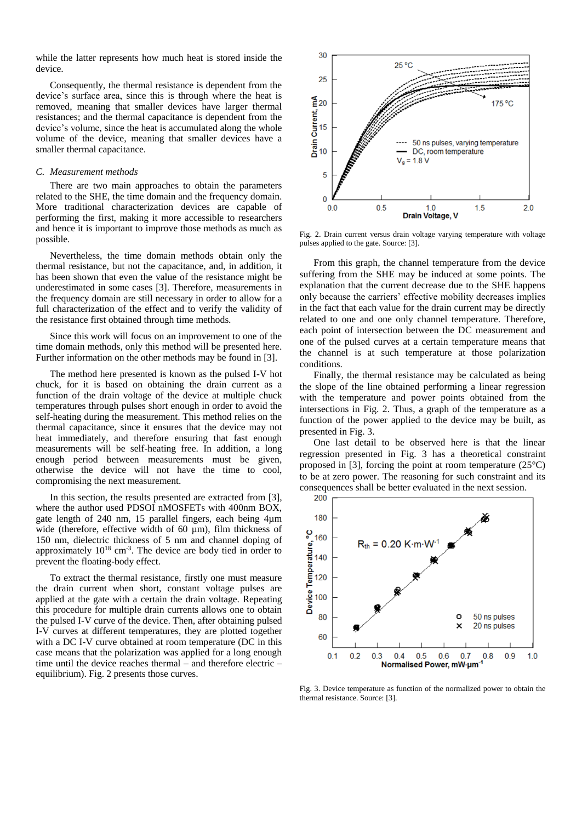while the latter represents how much heat is stored inside the device.

Consequently, the thermal resistance is dependent from the device's surface area, since this is through where the heat is removed, meaning that smaller devices have larger thermal resistances; and the thermal capacitance is dependent from the device's volume, since the heat is accumulated along the whole volume of the device, meaning that smaller devices have a smaller thermal capacitance.

#### *C. Measurement methods*

There are two main approaches to obtain the parameters related to the SHE, the time domain and the frequency domain. More traditional characterization devices are capable of performing the first, making it more accessible to researchers and hence it is important to improve those methods as much as possible.

Nevertheless, the time domain methods obtain only the thermal resistance, but not the capacitance, and, in addition, it has been shown that even the value of the resistance might be underestimated in some cases [\[3\].](#page-2-1) Therefore, measurements in the frequency domain are still necessary in order to allow for a full characterization of the effect and to verify the validity of the resistance first obtained through time methods.

Since this work will focus on an improvement to one of the time domain methods, only this method will be presented here. Further information on the other methods may be found in [\[3\].](#page-2-1)

The method here presented is known as the pulsed I-V hot chuck, for it is based on obtaining the drain current as a function of the drain voltage of the device at multiple chuck temperatures through pulses short enough in order to avoid the self-heating during the measurement. This method relies on the thermal capacitance, since it ensures that the device may not heat immediately, and therefore ensuring that fast enough measurements will be self-heating free. In addition, a long enough period between measurements must be given, otherwise the device will not have the time to cool, compromising the next measurement.

In this section, the results presented are extracted from [\[3\],](#page-2-1) where the author used PDSOI nMOSFETs with 400nm BOX, gate length of 240 nm, 15 parallel fingers, each being 4µm wide (therefore, effective width of 60 µm), film thickness of 150 nm, dielectric thickness of 5 nm and channel doping of approximately  $10^{18}$  cm<sup>-3</sup>. The device are body tied in order to prevent the floating-body effect.

To extract the thermal resistance, firstly one must measure the drain current when short, constant voltage pulses are applied at the gate with a certain the drain voltage. Repeating this procedure for multiple drain currents allows one to obtain the pulsed I-V curve of the device. Then, after obtaining pulsed I-V curves at different temperatures, they are plotted together with a DC I-V curve obtained at room temperature (DC in this case means that the polarization was applied for a long enough time until the device reaches thermal – and therefore electric – equilibrium). [Fig. 2](#page-1-0) presents those curves.



<span id="page-1-0"></span>Fig. 2. Drain current versus drain voltage varying temperature with voltage pulses applied to the gate. Source: [\[3\].](#page-2-1)

From this graph, the channel temperature from the device suffering from the SHE may be induced at some points. The explanation that the current decrease due to the SHE happens only because the carriers' effective mobility decreases implies in the fact that each value for the drain current may be directly related to one and one only channel temperature. Therefore, each point of intersection between the DC measurement and one of the pulsed curves at a certain temperature means that the channel is at such temperature at those polarization conditions.

Finally, the thermal resistance may be calculated as being the slope of the line obtained performing a linear regression with the temperature and power points obtained from the intersections in [Fig. 2.](#page-1-0) Thus, a graph of the temperature as a function of the power applied to the device may be built, as presented in [Fig. 3.](#page-1-1)

One last detail to be observed here is that the linear regression presented in [Fig. 3](#page-1-1) has a theoretical constraint proposed in [\[3\],](#page-2-1) forcing the point at room temperature (25°C) to be at zero power. The reasoning for such constraint and its consequences shall be better evaluated in the next session.



<span id="page-1-1"></span>Fig. 3. Device temperature as function of the normalized power to obtain the thermal resistance. Source[: \[3\].](#page-2-1)